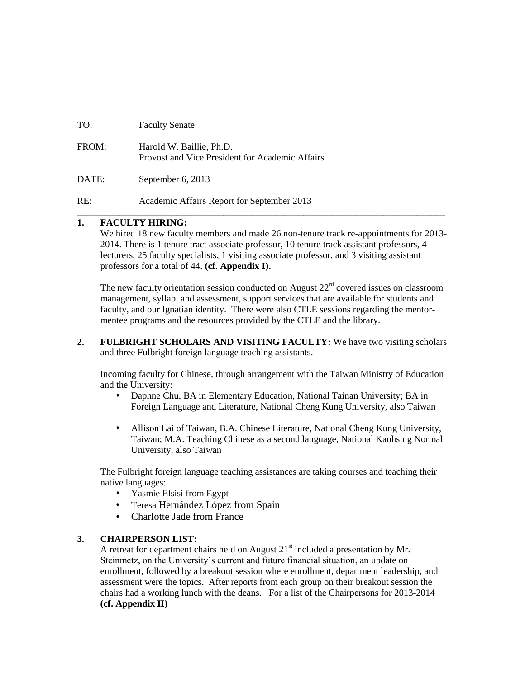| TO:   | <b>Faculty Senate</b>                                                       |
|-------|-----------------------------------------------------------------------------|
| FROM: | Harold W. Baillie, Ph.D.<br>Provost and Vice President for Academic Affairs |
| DATE: | September 6, 2013                                                           |
| RE:   | Academic Affairs Report for September 2013                                  |

#### **1. FACULTY HIRING:**

We hired 18 new faculty members and made 26 non-tenure track re-appointments for 2013-2014. There is 1 tenure tract associate professor, 10 tenure track assistant professors, 4 lecturers, 25 faculty specialists, 1 visiting associate professor, and 3 visiting assistant professors for a total of 44. **(cf. Appendix I).**

\_\_\_\_\_\_\_\_\_\_\_\_\_\_\_\_\_\_\_\_\_\_\_\_\_\_\_\_\_\_\_\_\_\_\_\_\_\_\_\_\_\_\_\_\_\_\_\_\_\_\_\_\_\_\_\_\_\_\_\_\_\_\_\_\_\_\_\_\_\_\_\_\_\_\_\_\_\_

The new faculty orientation session conducted on August  $22<sup>rd</sup>$  covered issues on classroom management, syllabi and assessment, support services that are available for students and faculty, and our Ignatian identity. There were also CTLE sessions regarding the mentormentee programs and the resources provided by the CTLE and the library.

**2. FULBRIGHT SCHOLARS AND VISITING FACULTY:** We have two visiting scholars and three Fulbright foreign language teaching assistants.

Incoming faculty for Chinese, through arrangement with the Taiwan Ministry of Education and the University:

- Daphne Chu, BA in Elementary Education, National Tainan University; BA in Foreign Language and Literature, National Cheng Kung University, also Taiwan
- Allison Lai of Taiwan, B.A. Chinese Literature, National Cheng Kung University, Taiwan; M.A. Teaching Chinese as a second language, National Kaohsing Normal University, also Taiwan

The Fulbright foreign language teaching assistances are taking courses and teaching their native languages:

- Yasmie Elsisi from Egypt
- Teresa Hernández López from Spain
- Charlotte Jade from France

#### **3. CHAIRPERSON LIST:**

A retreat for department chairs held on August  $21<sup>st</sup>$  included a presentation by Mr. Steinmetz, on the University's current and future financial situation, an update on enrollment, followed by a breakout session where enrollment, department leadership, and assessment were the topics. After reports from each group on their breakout session the chairs had a working lunch with the deans. For a list of the Chairpersons for 2013-2014 **(cf. Appendix II)**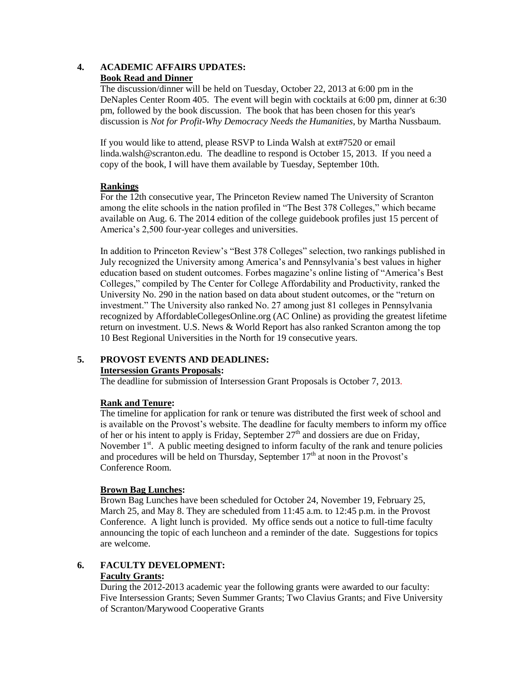#### **4. ACADEMIC AFFAIRS UPDATES: Book Read and Dinner**

The discussion/dinner will be held on Tuesday, October 22, 2013 at 6:00 pm in the DeNaples Center Room 405. The event will begin with cocktails at 6:00 pm, dinner at 6:30 pm, followed by the book discussion. The book that has been chosen for this year's discussion is *Not for Profit-Why Democracy Needs the Humanities*, by Martha Nussbaum.

If you would like to attend, please RSVP to Linda Walsh at ext#7520 or email [linda.walsh@scranton.edu.](mailto:linda.walsh@scranton.edu) The deadline to respond is October 15, 2013. If you need a copy of the book, I will have them available by Tuesday, September 10th.

#### **Rankings**

For the 12th consecutive year, The Princeton Review named The University of Scranton among the elite schools in the nation profiled in "The Best 378 Colleges," which became available on Aug. 6. The 2014 edition of the college guidebook profiles just 15 percent of America's 2,500 four-year colleges and universities.

In addition to Princeton Review's "Best 378 Colleges" selection, two rankings published in July recognized the University among America's and Pennsylvania's best values in higher education based on student outcomes. Forbes magazine's online listing of "America's Best Colleges," compiled by The Center for College Affordability and Productivity, ranked the University No. 290 in the nation based on data about student outcomes, or the "return on investment." The University also ranked No. 27 among just 81 colleges in Pennsylvania recognized by AffordableCollegesOnline.org (AC Online) as providing the greatest lifetime return on investment. U.S. News & World Report has also ranked Scranton among the top 10 Best Regional Universities in the North for 19 consecutive years.

## **5. PROVOST EVENTS AND DEADLINES:**

#### **Intersession Grants Proposals:**

The deadline for submission of Intersession Grant Proposals is October 7, 2013.

## **Rank and Tenure:**

The timeline for application for rank or tenure was distributed the first week of school and is available on the Provost's website. The deadline for faculty members to inform my office of her or his intent to apply is Friday, September  $27<sup>th</sup>$  and dossiers are due on Friday, November 1<sup>st</sup>. A public meeting designed to inform faculty of the rank and tenure policies and procedures will be held on Thursday, September  $17<sup>th</sup>$  at noon in the Provost's Conference Room.

## **Brown Bag Lunches:**

Brown Bag Lunches have been scheduled for October 24, November 19, February 25, March 25, and May 8. They are scheduled from 11:45 a.m. to 12:45 p.m. in the Provost Conference. A light lunch is provided. My office sends out a notice to full-time faculty announcing the topic of each luncheon and a reminder of the date. Suggestions for topics are welcome.

#### **6. FACULTY DEVELOPMENT: Faculty Grants:**

During the 2012-2013 academic year the following grants were awarded to our faculty: Five Intersession Grants; Seven Summer Grants; Two Clavius Grants; and Five University of Scranton/Marywood Cooperative Grants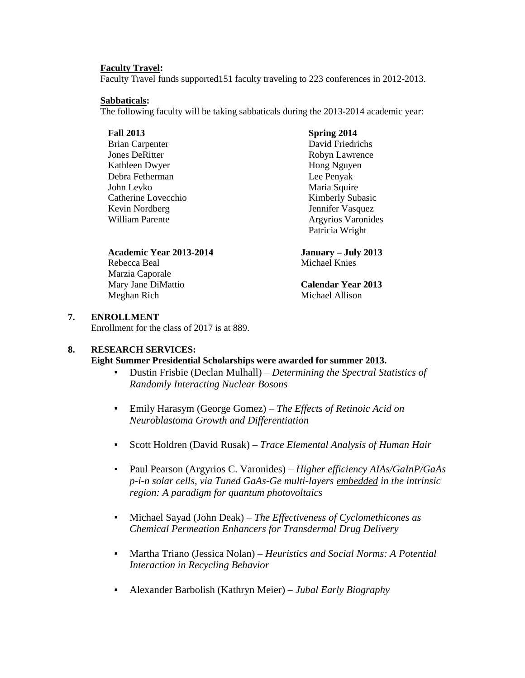#### **Faculty Travel:**

Faculty Travel funds supported151 faculty traveling to 223 conferences in 2012-2013.

#### **Sabbaticals:**

The following faculty will be taking sabbaticals during the 2013-2014 academic year:

#### **Fall 2013**

Brian Carpenter Jones DeRitter Kathleen Dwyer Debra Fetherman John Levko Catherine Lovecchio Kevin Nordberg William Parente

## **Academic Year 2013-2014 January – July 2013**

Rebecca Beal Michael Knies Marzia Caporale Mary Jane DiMattio **Calendar Year 2013** Meghan Rich Michael Allison

#### **Spring 2014**

David Friedrichs Robyn Lawrence Hong Nguyen Lee Penyak Maria Squire Kimberly Subasic Jennifer Vasquez Argyrios Varonides Patricia Wright

#### **7. ENROLLMENT**

Enrollment for the class of 2017 is at 889.

#### **8. RESEARCH SERVICES:**

## **Eight Summer Presidential Scholarships were awarded for summer 2013.**

- Dustin Frisbie (Declan Mulhall) *Determining the Spectral Statistics of Randomly Interacting Nuclear Bosons*
- Emily Harasym (George Gomez) *The Effects of Retinoic Acid on Neuroblastoma Growth and Differentiation*
- Scott Holdren (David Rusak) *Trace Elemental Analysis of Human Hair*
- Paul Pearson (Argyrios C. Varonides) *Higher efficiency AIAs/GaInP/GaAs p-i-n solar cells, via Tuned GaAs-Ge multi-layers embedded in the intrinsic region: A paradigm for quantum photovoltaics*
- Michael Sayad (John Deak) *The Effectiveness of Cyclomethicones as Chemical Permeation Enhancers for Transdermal Drug Delivery*
- Martha Triano (Jessica Nolan) *Heuristics and Social Norms: A Potential Interaction in Recycling Behavior*
- Alexander Barbolish (Kathryn Meier) *Jubal Early Biography*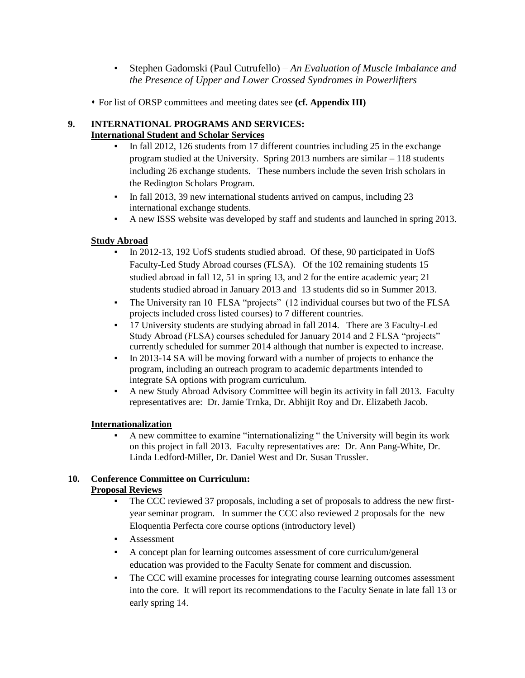- Stephen Gadomski (Paul Cutrufello) *An Evaluation of Muscle Imbalance and the Presence of Upper and Lower Crossed Syndromes in Powerlifters*
- For list of ORSP committees and meeting dates see **(cf. Appendix III)**

#### **9. INTERNATIONAL PROGRAMS AND SERVICES: International Student and Scholar Services**

- In fall 2012, 126 students from 17 different countries including 25 in the exchange program studied at the University. Spring 2013 numbers are similar – 118 students including 26 exchange students. These numbers include the seven Irish scholars in the Redington Scholars Program.
- In fall 2013, 39 new international students arrived on campus, including 23 international exchange students.
- A new ISSS website was developed by staff and students and launched in spring 2013.

## **Study Abroad**

- In 2012-13, 192 UofS students studied abroad. Of these, 90 participated in UofS Faculty-Led Study Abroad courses (FLSA). Of the 102 remaining students 15 studied abroad in fall 12, 51 in spring 13, and 2 for the entire academic year; 21 students studied abroad in January 2013 and 13 students did so in Summer 2013.
- The University ran 10 FLSA "projects" (12 individual courses but two of the FLSA projects included cross listed courses) to 7 different countries.
- 17 University students are studying abroad in fall 2014. There are 3 Faculty-Led Study Abroad (FLSA) courses scheduled for January 2014 and 2 FLSA "projects" currently scheduled for summer 2014 although that number is expected to increase.
- In 2013-14 SA will be moving forward with a number of projects to enhance the program, including an outreach program to academic departments intended to integrate SA options with program curriculum.
- A new Study Abroad Advisory Committee will begin its activity in fall 2013. Faculty representatives are: Dr. Jamie Trnka, Dr. Abhijit Roy and Dr. Elizabeth Jacob.

## **Internationalization**

▪ A new committee to examine "internationalizing " the University will begin its work on this project in fall 2013. Faculty representatives are: Dr. Ann Pang-White, Dr. Linda Ledford-Miller, Dr. Daniel West and Dr. Susan Trussler.

## **10. Conference Committee on Curriculum: Proposal Reviews**

- The CCC reviewed 37 proposals, including a set of proposals to address the new firstyear seminar program. In summer the CCC also reviewed 2 proposals for the new Eloquentia Perfecta core course options (introductory level)
- Assessment
- A concept plan for learning outcomes assessment of core curriculum/general education was provided to the Faculty Senate for comment and discussion.
- The CCC will examine processes for integrating course learning outcomes assessment into the core. It will report its recommendations to the Faculty Senate in late fall 13 or early spring 14.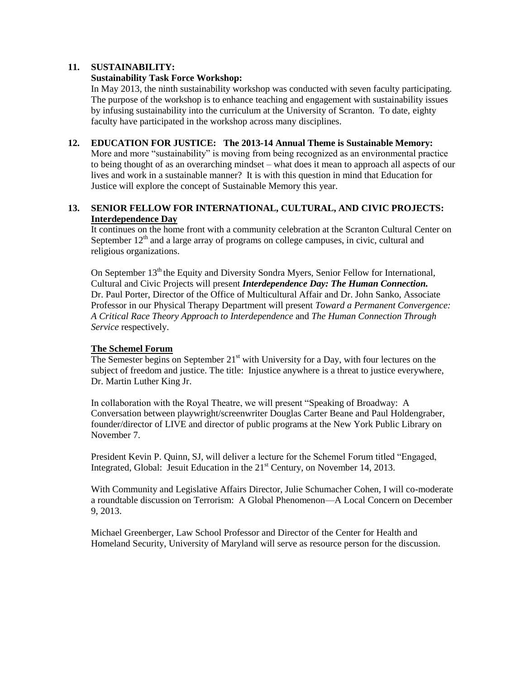#### **11. SUSTAINABILITY:**

#### **Sustainability Task Force Workshop:**

In May 2013, the ninth sustainability workshop was conducted with seven faculty participating. The purpose of the workshop is to enhance teaching and engagement with sustainability issues by infusing sustainability into the curriculum at the University of Scranton. To date, eighty faculty have participated in the workshop across many disciplines.

#### **12. EDUCATION FOR JUSTICE: The 2013-14 Annual Theme is Sustainable Memory:**

More and more "sustainability" is moving from being recognized as an environmental practice to being thought of as an overarching mindset – what does it mean to approach all aspects of our lives and work in a sustainable manner? It is with this question in mind that Education for Justice will explore the concept of [Sustainable Memory](http://www.scranton.edu/academics/provost/education-justice/sustainablememory.shtml) this year.

#### **13. SENIOR FELLOW FOR INTERNATIONAL, CULTURAL, AND CIVIC PROJECTS: Interdependence Day**

It continues on the home front with a community celebration at the Scranton Cultural Center on September  $12<sup>th</sup>$  and a large array of programs on college campuses, in civic, cultural and religious organizations.

On September 13<sup>th</sup> the Equity and Diversity Sondra Myers, Senior Fellow for International, Cultural and Civic Projects will present *Interdependence Day: The Human Connection.* Dr. Paul Porter, Director of the Office of Multicultural Affair and Dr. John Sanko, Associate Professor in our Physical Therapy Department will present *Toward a Permanent Convergence: A Critical Race Theory Approach to Interdependence* and *The Human Connection Through Service* respectively.

#### **The Schemel Forum**

The Semester begins on September  $21<sup>st</sup>$  with University for a Day, with four lectures on the subject of freedom and justice. The title: Injustice anywhere is a threat to justice everywhere, Dr. Martin Luther King Jr.

In collaboration with the Royal Theatre, we will present "Speaking of Broadway: A Conversation between playwright/screenwriter Douglas Carter Beane and Paul Holdengraber, founder/director of LIVE and director of public programs at the New York Public Library on November 7.

President Kevin P. Quinn, SJ, will deliver a lecture for the Schemel Forum titled "Engaged, Integrated, Global: Jesuit Education in the  $21<sup>st</sup>$  Century, on November 14, 2013.

With Community and Legislative Affairs Director, Julie Schumacher Cohen, I will co-moderate a roundtable discussion on Terrorism: A Global Phenomenon—A Local Concern on December 9, 2013.

Michael Greenberger, Law School Professor and Director of the Center for Health and Homeland Security, University of Maryland will serve as resource person for the discussion.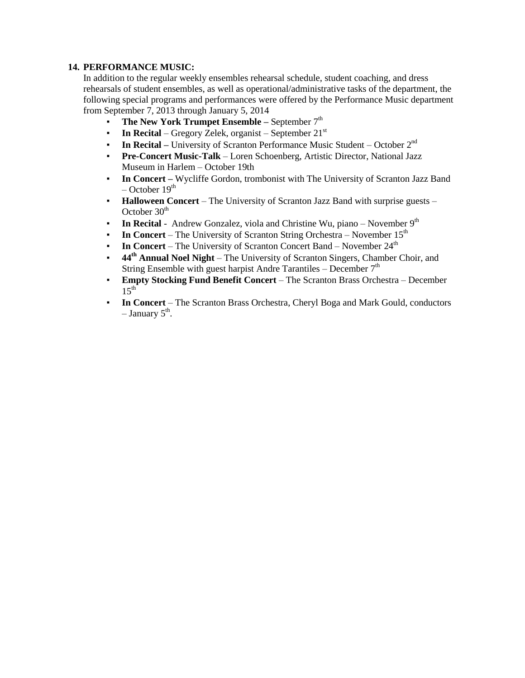#### **14. PERFORMANCE MUSIC:**

In addition to the regular weekly ensembles rehearsal schedule, student coaching, and dress rehearsals of student ensembles, as well as operational/administrative tasks of the department, the following special programs and performances were offered by the Performance Music department from September 7, 2013 through January 5, 2014

- **The New York Trumpet Ensemble –** September 7<sup>th</sup>
- **In Recital** Gregory Zelek, organist September 21<sup>st</sup>
- **In Recital –** University of Scranton Performance Music Student October 2<sup>nd</sup>
- **Pre-Concert Music-Talk** Loren Schoenberg, Artistic Director, National Jazz Museum in Harlem – October 19th
- **In Concert** Wycliffe Gordon, trombonist with The University of Scranton Jazz Band  $-$  October 19<sup>th</sup>
- **Halloween Concert**  The University of Scranton Jazz Band with surprise guests October  $30<sup>th</sup>$
- **In Recital** Andrew Gonzalez, viola and Christine Wu, piano November 9<sup>th</sup>
- **In Concert** The University of Scranton String Orchestra November 15<sup>th</sup>
- **In Concert** The University of Scranton Concert Band November 24<sup>th</sup>
- **44th Annual Noel Night**  The University of Scranton Singers, Chamber Choir, and String Ensemble with guest harpist Andre Tarantiles – December  $7<sup>th</sup>$
- **Empty Stocking Fund Benefit Concert**  The Scranton Brass Orchestra December  $15^{th}$
- **In Concert**  The Scranton Brass Orchestra, Cheryl Boga and Mark Gould, conductors  $-$  January  $5^{\text{th}}$ .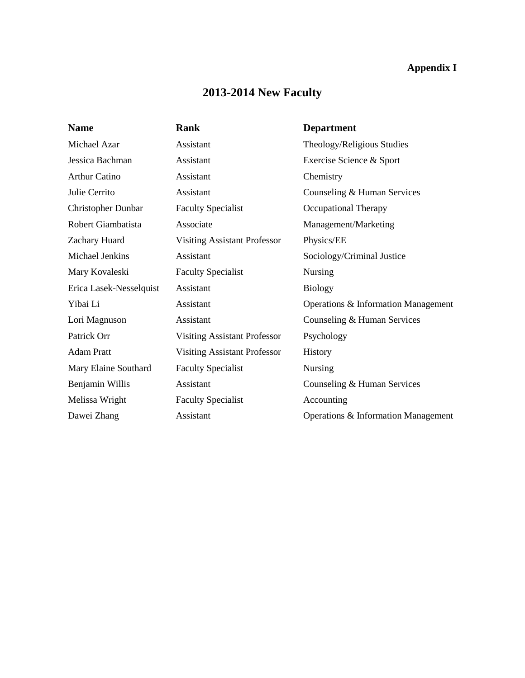## **Appendix I**

# **2013-2014 New Faculty**

| <b>Name</b>             | Rank                                | <b>Department</b>                   |
|-------------------------|-------------------------------------|-------------------------------------|
| Michael Azar            | Assistant                           | Theology/Religious Studies          |
| Jessica Bachman         | Assistant                           | Exercise Science & Sport            |
| <b>Arthur Catino</b>    | Assistant                           | Chemistry                           |
| Julie Cerrito           | Assistant                           | Counseling & Human Services         |
| Christopher Dunbar      | <b>Faculty Specialist</b>           | <b>Occupational Therapy</b>         |
| Robert Giambatista      | Associate                           | Management/Marketing                |
| Zachary Huard           | <b>Visiting Assistant Professor</b> | Physics/EE                          |
| Michael Jenkins         | Assistant                           | Sociology/Criminal Justice          |
| Mary Kovaleski          | <b>Faculty Specialist</b>           | Nursing                             |
| Erica Lasek-Nesselquist | Assistant                           | <b>Biology</b>                      |
| Yibai Li                | Assistant                           | Operations & Information Management |
| Lori Magnuson           | Assistant                           | Counseling & Human Services         |
| Patrick Orr             | <b>Visiting Assistant Professor</b> | Psychology                          |
| <b>Adam Pratt</b>       | <b>Visiting Assistant Professor</b> | History                             |
| Mary Elaine Southard    | <b>Faculty Specialist</b>           | Nursing                             |
| Benjamin Willis         | Assistant                           | Counseling & Human Services         |
| Melissa Wright          | <b>Faculty Specialist</b>           | Accounting                          |
| Dawei Zhang             | Assistant                           | Operations & Information Management |
|                         |                                     |                                     |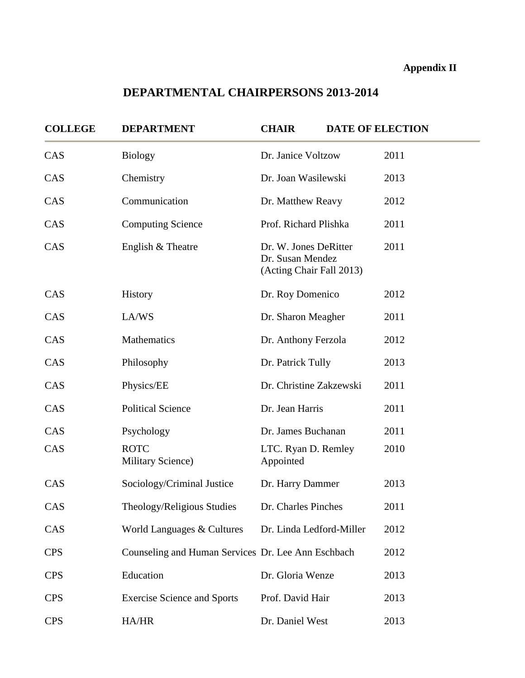## **Appendix II**

# **DEPARTMENTAL CHAIRPERSONS 2013-2014**

| <b>COLLEGE</b> | <b>DEPARTMENT</b>                                  | <b>CHAIR</b>                                                          | <b>DATE OF ELECTION</b> |
|----------------|----------------------------------------------------|-----------------------------------------------------------------------|-------------------------|
| CAS            | <b>Biology</b>                                     | Dr. Janice Voltzow                                                    | 2011                    |
| CAS            | Chemistry                                          | Dr. Joan Wasilewski                                                   | 2013                    |
| CAS            | Communication                                      | Dr. Matthew Reavy                                                     | 2012                    |
| CAS            | <b>Computing Science</b>                           | Prof. Richard Plishka                                                 | 2011                    |
| CAS            | English & Theatre                                  | Dr. W. Jones DeRitter<br>Dr. Susan Mendez<br>(Acting Chair Fall 2013) | 2011                    |
| CAS            | History                                            | Dr. Roy Domenico                                                      | 2012                    |
| CAS            | LA/WS                                              | Dr. Sharon Meagher                                                    | 2011                    |
| CAS            | Mathematics                                        | Dr. Anthony Ferzola                                                   | 2012                    |
| CAS            | Philosophy                                         | Dr. Patrick Tully                                                     | 2013                    |
| CAS            | Physics/EE                                         | Dr. Christine Zakzewski                                               | 2011                    |
| CAS            | <b>Political Science</b>                           | Dr. Jean Harris                                                       | 2011                    |
| CAS            | Psychology                                         | Dr. James Buchanan                                                    | 2011                    |
| CAS            | <b>ROTC</b><br><b>Military Science</b> )           | LTC. Ryan D. Remley<br>Appointed                                      | 2010                    |
| CAS            | Sociology/Criminal Justice                         | Dr. Harry Dammer                                                      | 2013                    |
| CAS            | Theology/Religious Studies                         | Dr. Charles Pinches                                                   | 2011                    |
| CAS            | World Languages & Cultures                         | Dr. Linda Ledford-Miller                                              | 2012                    |
| <b>CPS</b>     | Counseling and Human Services Dr. Lee Ann Eschbach |                                                                       | 2012                    |
| <b>CPS</b>     | Education                                          | Dr. Gloria Wenze                                                      | 2013                    |
| <b>CPS</b>     | <b>Exercise Science and Sports</b>                 | Prof. David Hair                                                      | 2013                    |
| <b>CPS</b>     | HA/HR                                              | Dr. Daniel West                                                       | 2013                    |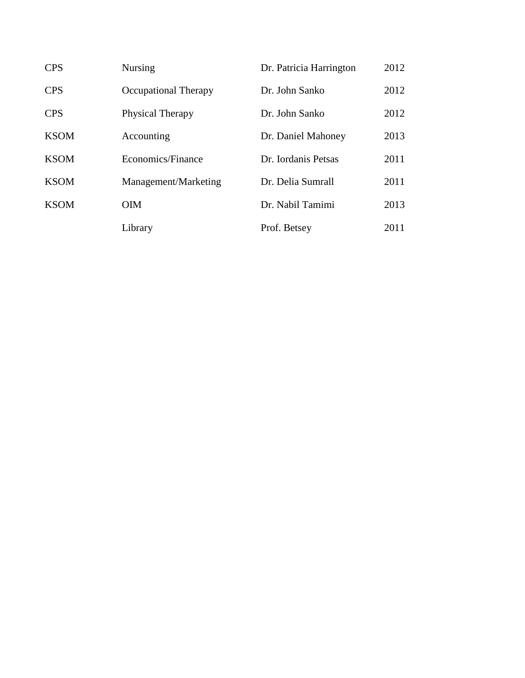| <b>CPS</b>  | <b>Nursing</b>       | Dr. Patricia Harrington | 2012 |
|-------------|----------------------|-------------------------|------|
| <b>CPS</b>  | Occupational Therapy | Dr. John Sanko          | 2012 |
| <b>CPS</b>  | Physical Therapy     | Dr. John Sanko          | 2012 |
| <b>KSOM</b> | Accounting           | Dr. Daniel Mahoney      | 2013 |
| <b>KSOM</b> | Economics/Finance    | Dr. Iordanis Petsas     | 2011 |
| <b>KSOM</b> | Management/Marketing | Dr. Delia Sumrall       | 2011 |
| <b>KSOM</b> | <b>OIM</b>           | Dr. Nabil Tamimi        | 2013 |
|             | Library              | Prof. Betsey            | 2011 |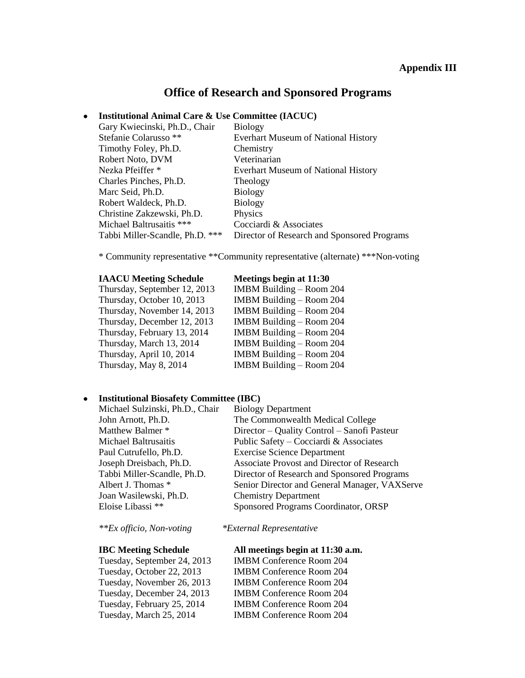## **Office of Research and Sponsored Programs**

#### **Institutional Animal Care & Use Committee (IACUC)**

| Gary Kwiecinski, Ph.D., Chair    | <b>Biology</b>                              |
|----------------------------------|---------------------------------------------|
| Stefanie Colarusso <sup>**</sup> | <b>Everhart Museum of National History</b>  |
| Timothy Foley, Ph.D.             | Chemistry                                   |
| Robert Noto, DVM                 | Veterinarian                                |
| Nezka Pfeiffer *                 | <b>Everhart Museum of National History</b>  |
| Charles Pinches, Ph.D.           | Theology                                    |
| Marc Seid, Ph.D.                 | <b>Biology</b>                              |
| Robert Waldeck, Ph.D.            | <b>Biology</b>                              |
| Christine Zakzewski, Ph.D.       | Physics                                     |
| Michael Baltrusaitis ***         | Cocciardi & Associates                      |
| Tabbi Miller-Scandle, Ph.D. ***  | Director of Research and Sponsored Programs |

\* Community representative \*\*Community representative (alternate) \*\*\*Non-voting

#### **IAACU Meeting Schedule Meetings begin at 11:30**

Thursday, September 12, 2013 Thursday, October 10, 2013 Thursday, November 14, 2013 Thursday, December 12, 2013 Thursday, February 13, 2014 Thursday, March 13, 2014 Thursday, April 10, 2014 Thursday, May 8, 2014

| IMBM Building - Room 204 |
|--------------------------|
| IMBM Building - Room 204 |
| IMBM Building - Room 204 |
| IMBM Building - Room 204 |
| IMBM Building – Room 204 |
| IMBM Building - Room 204 |
| IMBM Building - Room 204 |
| IMBM Building - Room 204 |
|                          |

#### **Institutional Biosafety Committee (IBC)**  $\bullet$

Michael Sulzinski, Ph.D., Chair Biology Department Joan Wasilewski, Ph.D. Chemistry Department

John Arnott, Ph.D. The Commonwealth Medical College Matthew Balmer \* Director – Quality Control – Sanofi Pasteur Michael Baltrusaitis Public Safety – Cocciardi & Associates Paul Cutrufello, Ph.D. Exercise Science Department Joseph Dreisbach, Ph.D. Associate Provost and Director of Research Tabbi Miller-Scandle, Ph.D. Director of Research and Sponsored Programs Albert J. Thomas \* Senior Director and General Manager, VAXServe Eloise Libassi \*\* Sponsored Programs Coordinator, ORSP

Tuesday, September 24, 2013 IMBM Conference Room 204

*\*\*Ex officio, Non-voting \*External Representative*

#### **IBC Meeting Schedule All meetings begin at 11:30 a.m.**

Tuesday, October 22, 2013 IMBM Conference Room 204 Tuesday, November 26, 2013 IMBM Conference Room 204 Tuesday, December 24, 2013 IMBM Conference Room 204 Tuesday, February 25, 2014 IMBM Conference Room 204 Tuesday, March 25, 2014 IMBM Conference Room 204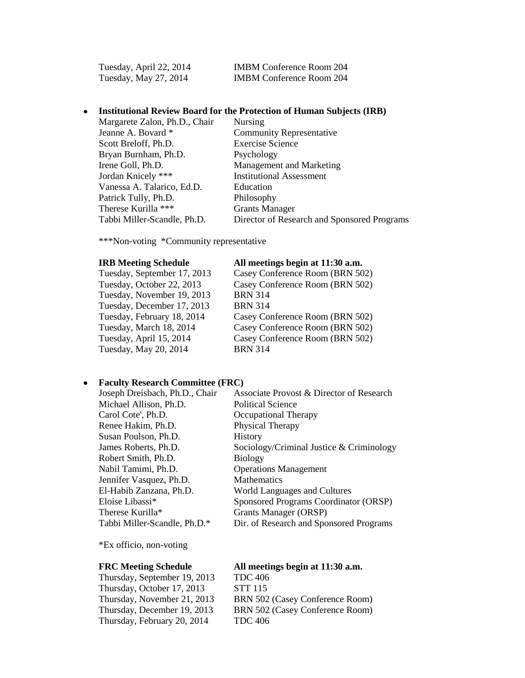Tuesday, April 22, 2014 IMBM Conference Room 204 Tuesday, May 27, 2014 IMBM Conference Room 204

#### $\bullet$ **Institutional Review Board for the Protection of Human Subjects (IRB)**

| Margarete Zalon, Ph.D., Chair | Nursing                                     |
|-------------------------------|---------------------------------------------|
| Jeanne A. Bovard *            | <b>Community Representative</b>             |
| Scott Breloff, Ph.D.          | <b>Exercise Science</b>                     |
| Bryan Burnham, Ph.D.          | Psychology                                  |
| Irene Goll, Ph.D.             | Management and Marketing                    |
| Jordan Knicely ***            | <b>Institutional Assessment</b>             |
| Vanessa A. Talarico, Ed.D.    | Education                                   |
| Patrick Tully, Ph.D.          | Philosophy                                  |
| Therese Kurilla ***           | <b>Grants Manager</b>                       |
| Tabbi Miller-Scandle, Ph.D.   | Director of Research and Sponsored Programs |

\*\*\*Non-voting \*Community representative

Tuesday, September 17, 2013 Casey Conference Room (BRN 502) Tuesday, November 19, 2013 BRN 314 Tuesday, December 17, 2013 BRN 314 Tuesday, May 20, 2014 BRN 314

#### **IRB Meeting Schedule All meetings begin at 11:30 a.m.**

Tuesday, October 22, 2013 Casey Conference Room (BRN 502) Tuesday, February 18, 2014 Casey Conference Room (BRN 502) Tuesday, March 18, 2014 Casey Conference Room (BRN 502) Tuesday, April 15, 2014 Casey Conference Room (BRN 502)

#### **Faculty Research Committee (FRC)**

| Associate Provost & Director of Research |
|------------------------------------------|
| Political Science                        |
| Occupational Therapy                     |
| Physical Therapy                         |
| <b>History</b>                           |
| Sociology/Criminal Justice & Criminology |
| <b>Biology</b>                           |
| <b>Operations Management</b>             |
| <b>Mathematics</b>                       |
| World Languages and Cultures             |
| Sponsored Programs Coordinator (ORSP)    |
| <b>Grants Manager (ORSP)</b>             |
| Dir. of Research and Sponsored Programs  |
|                                          |

\*Ex officio, non-voting

#### **FRC Meeting Schedule All meetings begin at 11:30 a.m.**

TDC 406 STT 115 BRN 502 (Casey Conference Room) BRN 502 (Casey Conference Room) TDC 406